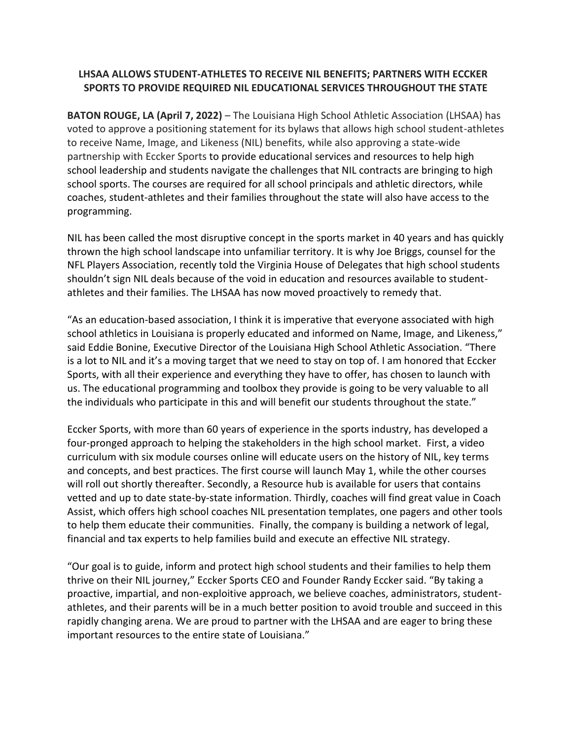## **LHSAA ALLOWS STUDENT-ATHLETES TO RECEIVE NIL BENEFITS; PARTNERS WITH ECCKER SPORTS TO PROVIDE REQUIRED NIL EDUCATIONAL SERVICES THROUGHOUT THE STATE**

**BATON ROUGE, LA (April 7, 2022)** – The Louisiana High School Athletic Association (LHSAA) has voted to approve a positioning statement for its bylaws that allows high school student-athletes to receive Name, Image, and Likeness (NIL) benefits, while also approving a state-wide partnership with Eccker Sports to provide educational services and resources to help high school leadership and students navigate the challenges that NIL contracts are bringing to high school sports. The courses are required for all school principals and athletic directors, while coaches, student-athletes and their families throughout the state will also have access to the programming.

NIL has been called the most disruptive concept in the sports market in 40 years and has quickly thrown the high school landscape into unfamiliar territory. It is why Joe Briggs, counsel for the NFL Players Association, recently told the Virginia House of Delegates that high school students shouldn't sign NIL deals because of the void in education and resources available to studentathletes and their families. The LHSAA has now moved proactively to remedy that.

"As an education-based association, I think it is imperative that everyone associated with high school athletics in Louisiana is properly educated and informed on Name, Image, and Likeness," said Eddie Bonine, Executive Director of the Louisiana High School Athletic Association. "There is a lot to NIL and it's a moving target that we need to stay on top of. I am honored that Eccker Sports, with all their experience and everything they have to offer, has chosen to launch with us. The educational programming and toolbox they provide is going to be very valuable to all the individuals who participate in this and will benefit our students throughout the state."

Eccker Sports, with more than 60 years of experience in the sports industry, has developed a four-pronged approach to helping the stakeholders in the high school market. First, a video curriculum with six module courses online will educate users on the history of NIL, key terms and concepts, and best practices. The first course will launch May 1, while the other courses will roll out shortly thereafter. Secondly, a Resource hub is available for users that contains vetted and up to date state-by-state information. Thirdly, coaches will find great value in Coach Assist, which offers high school coaches NIL presentation templates, one pagers and other tools to help them educate their communities. Finally, the company is building a network of legal, financial and tax experts to help families build and execute an effective NIL strategy.

"Our goal is to guide, inform and protect high school students and their families to help them thrive on their NIL journey," Eccker Sports CEO and Founder Randy Eccker said. "By taking a proactive, impartial, and non-exploitive approach, we believe coaches, administrators, studentathletes, and their parents will be in a much better position to avoid trouble and succeed in this rapidly changing arena. We are proud to partner with the LHSAA and are eager to bring these important resources to the entire state of Louisiana."